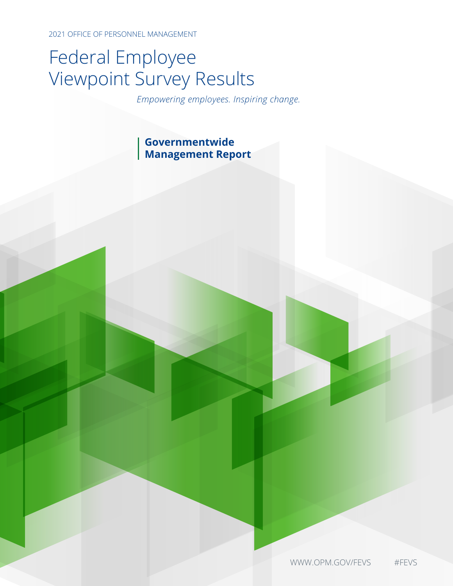2021 OFFICE OF PERSONNEL MANAGEMENT

# Federal Employee Viewpoint Survey Results

*Empowering employees. Inspiring change.*

## **Governmentwide Management Report**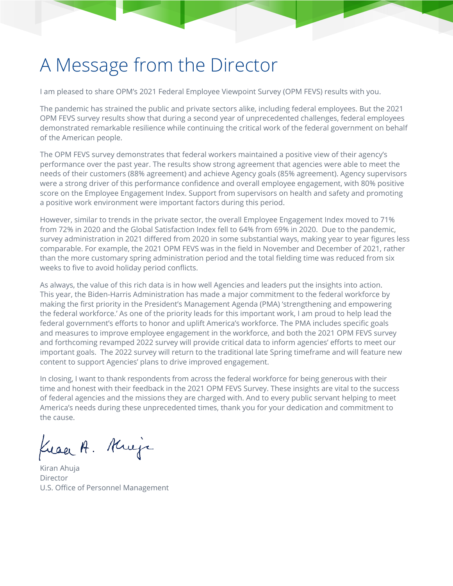# A Message from the Director

I am pleased to share OPM's 2021 Federal Employee Viewpoint Survey (OPM FEVS) results with you.

The pandemic has strained the public and private sectors alike, including federal employees. But the 2021 OPM FEVS survey results show that during a second year of unprecedented challenges, federal employees demonstrated remarkable resilience while continuing the critical work of the federal government on behalf of the American people.

The OPM FEVS survey demonstrates that federal workers maintained a positive view of their agency's performance over the past year. The results show strong agreement that agencies were able to meet the needs of their customers (88% agreement) and achieve Agency goals (85% agreement). Agency supervisors were a strong driver of this performance confidence and overall employee engagement, with 80% positive score on the Employee Engagement Index. Support from supervisors on health and safety and promoting a positive work environment were important factors during this period.

However, similar to trends in the private sector, the overall Employee Engagement Index moved to 71% from 72% in 2020 and the Global Satisfaction Index fell to 64% from 69% in 2020. Due to the pandemic, survey administration in 2021 differed from 2020 in some substantial ways, making year to year figures less comparable. For example, the 2021 OPM FEVS was in the field in November and December of 2021, rather than the more customary spring administration period and the total fielding time was reduced from six weeks to five to avoid holiday period conflicts.

As always, the value of this rich data is in how well Agencies and leaders put the insights into action. This year, the Biden-Harris Administration has made a major commitment to the federal workforce by making the first priority in the President's Management Agenda (PMA) 'strengthening and empowering the federal workforce.' As one of the priority leads for this important work, I am proud to help lead the federal government's efforts to honor and uplift America's workforce. The PMA includes specific goals and measures to improve employee engagement in the workforce, and both the 2021 OPM FEVS survey and forthcoming revamped 2022 survey will provide critical data to inform agencies' efforts to meet our important goals. The 2022 survey will return to the traditional late Spring timeframe and will feature new content to support Agencies' plans to drive improved engagement.

In closing, I want to thank respondents from across the federal workforce for being generous with their time and honest with their feedback in the 2021 OPM FEVS Survey. These insights are vital to the success of federal agencies and the missions they are charged with. And to every public servant helping to meet America's needs during these unprecedented times, thank you for your dedication and commitment to the cause.

Kraa A. Krieje

Kiran Ahuja **Director** U.S. Office of Personnel Management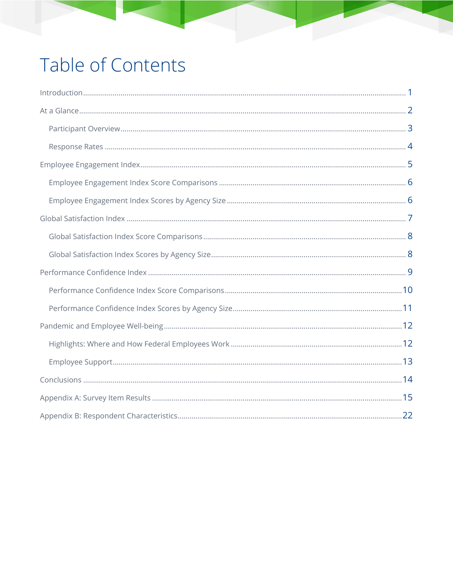# Table of Contents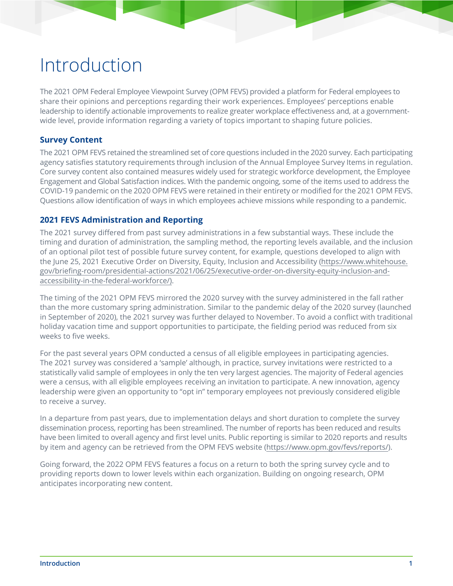# Introduction

The 2021 OPM Federal Employee Viewpoint Survey (OPM FEVS) provided a platform for Federal employees to share their opinions and perceptions regarding their work experiences. Employees' perceptions enable leadership to identify actionable improvements to realize greater workplace effectiveness and, at a governmentwide level, provide information regarding a variety of topics important to shaping future policies.

### **Survey Content**

The 2021 OPM FEVS retained the streamlined set of core questions included in the 2020 survey. Each participating agency satisfies statutory requirements through inclusion of the Annual Employee Survey Items in regulation. Core survey content also contained measures widely used for strategic workforce development, the Employee Engagement and Global Satisfaction indices. With the pandemic ongoing, some of the items used to address the COVID-19 pandemic on the 2020 OPM FEVS were retained in their entirety or modified for the 2021 OPM FEVS. Questions allow identification of ways in which employees achieve missions while responding to a pandemic.

### **2021 FEVS Administration and Reporting**

The 2021 survey differed from past survey administrations in a few substantial ways. These include the timing and duration of administration, the sampling method, the reporting levels available, and the inclusion of an optional pilot test of possible future survey content, for example, questions developed to align with the June 25, 2021 Executive Order on Diversity, Equity, Inclusion and Accessibility [\(https://www.whitehouse.](https://www.whitehouse.gov/briefing-room/presidential-actions/2021/06/25/executive-order-on-diversity-equity-inclusion-and-accessibility-in-the-federal-workforce/) gov/briefing-room/presidential-actions/2021/06/25/executive-order-on-diversity-equity-inclusion-and[accessibility-in-the-federal-workforce/](https://www.whitehouse.gov/briefing-room/presidential-actions/2021/06/25/executive-order-on-diversity-equity-inclusion-and-accessibility-in-the-federal-workforce/)).

The timing of the 2021 OPM FEVS mirrored the 2020 survey with the survey administered in the fall rather than the more customary spring administration. Similar to the pandemic delay of the 2020 survey (launched in September of 2020), the 2021 survey was further delayed to November. To avoid a conflict with traditional holiday vacation time and support opportunities to participate, the fielding period was reduced from six weeks to five weeks.

For the past several years OPM conducted a census of all eligible employees in participating agencies. The 2021 survey was considered a 'sample' although, in practice, survey invitations were restricted to a statistically valid sample of employees in only the ten very largest agencies. The majority of Federal agencies were a census, with all eligible employees receiving an invitation to participate. A new innovation, agency leadership were given an opportunity to "opt in" temporary employees not previously considered eligible to receive a survey.

In a departure from past years, due to implementation delays and short duration to complete the survey dissemination process, reporting has been streamlined. The number of reports has been reduced and results have been limited to overall agency and first level units. Public reporting is similar to 2020 reports and results by item and agency can be retrieved from the OPM FEVS website [\(https://www.opm.gov/fevs/reports/\)](https://www.opm.gov/fevs/reports/).

Going forward, the 2022 OPM FEVS features a focus on a return to both the spring survey cycle and to providing reports down to lower levels within each organization. Building on ongoing research, OPM anticipates incorporating new content.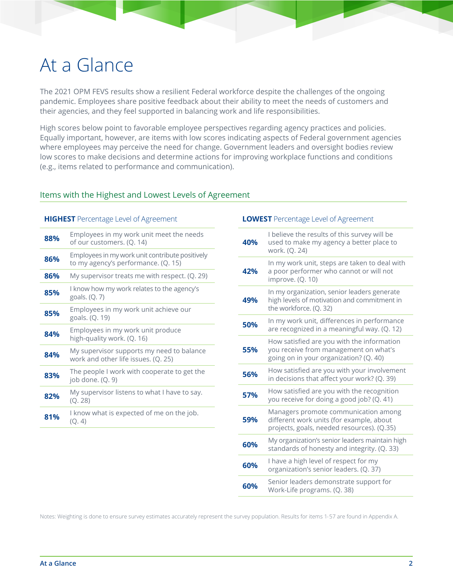# At a Glance

The 2021 OPM FEVS results show a resilient Federal workforce despite the challenges of the ongoing pandemic. Employees share positive feedback about their ability to meet the needs of customers and their agencies, and they feel supported in balancing work and life responsibilities.

High scores below point to favorable employee perspectives regarding agency practices and policies. Equally important, however, are items with low scores indicating aspects of Federal government agencies where employees may perceive the need for change. Government leaders and oversight bodies review low scores to make decisions and determine actions for improving workplace functions and conditions (e.g., items related to performance and communication).

### Items with the Highest and Lowest Levels of Agreement

#### **HIGHEST** Percentage Level of Agreement

| 88% | Employees in my work unit meet the needs<br>of our customers. (Q. 14)                  |
|-----|----------------------------------------------------------------------------------------|
| 86% | Employees in my work unit contribute positively<br>to my agency's performance. (Q. 15) |
| 86% | My supervisor treats me with respect. (Q. 29)                                          |
| 85% | I know how my work relates to the agency's<br>goals. (Q. 7)                            |
| 85% | Employees in my work unit achieve our<br>goals. (Q. 19)                                |
| 84% | Employees in my work unit produce<br>high-quality work. (Q. 16)                        |
| 84% | My supervisor supports my need to balance<br>work and other life issues. (Q. 25)       |
| 83% | The people I work with cooperate to get the<br>job done. $(Q. 9)$                      |
| 82% | My supervisor listens to what I have to say.<br>(Q. 28)                                |
| 81% | I know what is expected of me on the job.<br>(Q, 4)                                    |

#### **LOWEST** Percentage Level of Agreement

| 40% | I believe the results of this survey will be<br>used to make my agency a better place to<br>work. (Q. 24)                      |
|-----|--------------------------------------------------------------------------------------------------------------------------------|
| 42% | In my work unit, steps are taken to deal with<br>a poor performer who cannot or will not<br>improve. (Q. 10)                   |
| 49% | In my organization, senior leaders generate<br>high levels of motivation and commitment in<br>the workforce. (Q. 32)           |
| 50% | In my work unit, differences in performance<br>are recognized in a meaningful way. (Q. 12)                                     |
| 55% | How satisfied are you with the information<br>you receive from management on what's<br>going on in your organization? (Q. 40)  |
| 56% | How satisfied are you with your involvement<br>in decisions that affect your work? (Q. 39)                                     |
| 57% | How satisfied are you with the recognition<br>you receive for doing a good job? (Q. 41)                                        |
| 59% | Managers promote communication among<br>different work units (for example, about<br>projects, goals, needed resources). (Q.35) |
| 60% | My organization's senior leaders maintain high<br>standards of honesty and integrity. (Q. 33)                                  |
| 60% | I have a high level of respect for my<br>organization's senior leaders. (Q. 37)                                                |
| 60% | Senior leaders demonstrate support for<br>Work-Life programs. (Q. 38)                                                          |

Notes: Weighting is done to ensure survey estimates accurately represent the survey population. Results for items 1-57 are found in Appendix A.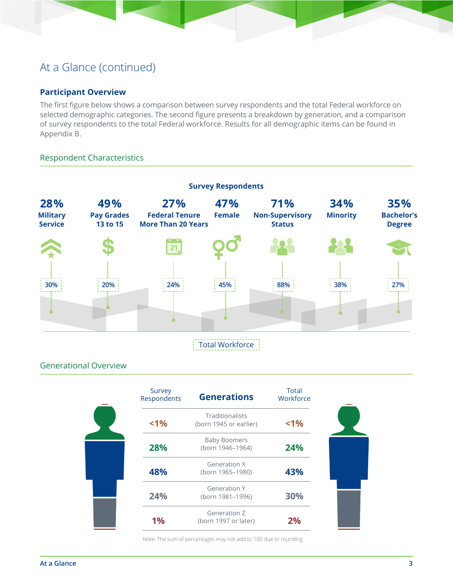## At a Glance (continued)

### **Participant Overview**

The first figure below shows a comparison between survey respondents and the total Federal workforce on selected demographic categories. The second figure presents a breakdown by generation, and a comparison of survey respondents to the total Federal workforce. Results for all demographic items can be found in Appendix B.

### Respondent Characteristics



### Generational Overview

| Survey<br>Respondents | <b>Generations</b>                               | Total<br>Workforce |
|-----------------------|--------------------------------------------------|--------------------|
| < 1%                  | <b>Traditionalists</b><br>(born 1945 or earlier) | $< 1\%$            |
| 28%                   | <b>Baby Boomers</b><br>(born 1946-1964)          | 24%                |
| 48%                   | <b>Generation X</b><br>(born 1965-1980)          | 43%                |
| 24%                   | <b>Generation Y</b><br>(born 1981-1996)          | 30%                |
| 1%                    | <b>Generation Z</b><br>(born 1997 or later)      | 2%                 |

Note: The sum of percentages may not add to 100 due to rounding.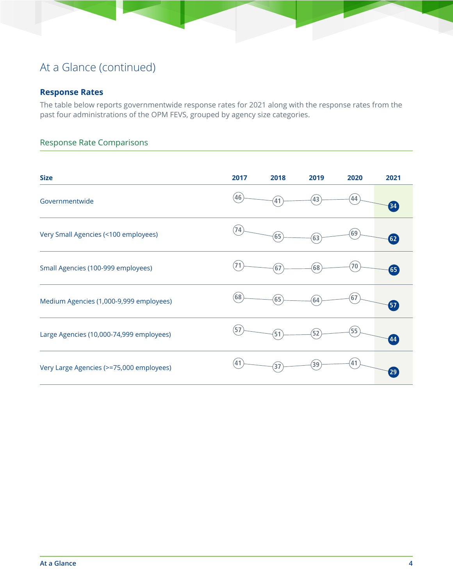## At a Glance (continued)

### **Response Rates**

The table below reports governmentwide response rates for 2021 along with the response rates from the past four administrations of the OPM FEVS, grouped by agency size categories.

### Response Rate Comparisons

| <b>Size</b>                              | 2017 | 2018            | 2019              | 2020 | 2021              |
|------------------------------------------|------|-----------------|-------------------|------|-------------------|
| Governmentwide                           | (46) | 41              | 43                | 44   | $\left(34\right)$ |
| Very Small Agencies (<100 employees)     | (74) | (65)            | 63                | 69   | $\boxed{62}$      |
| Small Agencies (100-999 employees)       | (71) | $\overline{67}$ | 68                | 70   | 65                |
| Medium Agencies (1,000-9,999 employees)  | (68) | (65)            | 64                | 67   | $\overline{57}$   |
| Large Agencies (10,000-74,999 employees) | (57) | (51)            | 52                | 55   | 44                |
| Very Large Agencies (>=75,000 employees) | (41) | $\overline{37}$ | $\left[39\right]$ | 41   | 29                |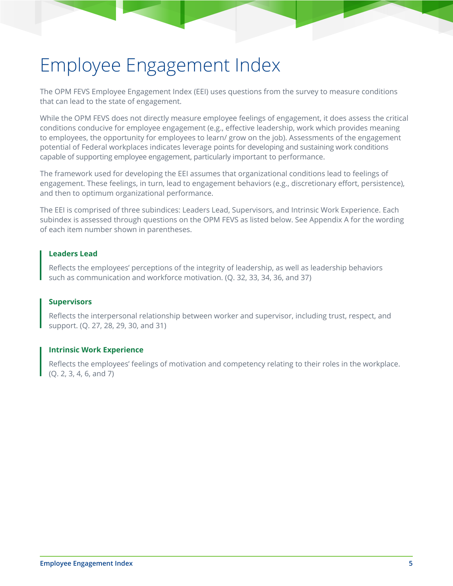# Employee Engagement Index

The OPM FEVS Employee Engagement Index (EEI) uses questions from the survey to measure conditions that can lead to the state of engagement.

While the OPM FEVS does not directly measure employee feelings of engagement, it does assess the critical conditions conducive for employee engagement (e.g., effective leadership, work which provides meaning to employees, the opportunity for employees to learn/ grow on the job). Assessments of the engagement potential of Federal workplaces indicates leverage points for developing and sustaining work conditions capable of supporting employee engagement, particularly important to performance.

The framework used for developing the EEI assumes that organizational conditions lead to feelings of engagement. These feelings, in turn, lead to engagement behaviors (e.g., discretionary effort, persistence), and then to optimum organizational performance.

The EEI is comprised of three subindices: Leaders Lead, Supervisors, and Intrinsic Work Experience. Each subindex is assessed through questions on the OPM FEVS as listed below. See Appendix A for the wording of each item number shown in parentheses.

#### **Leaders Lead**

Reflects the employees' perceptions of the integrity of leadership, as well as leadership behaviors such as communication and workforce motivation. (Q. 32, 33, 34, 36, and 37)

### **Supervisors**

Reflects the interpersonal relationship between worker and supervisor, including trust, respect, and support. (Q. 27, 28, 29, 30, and 31)

#### **Intrinsic Work Experience**

Reflects the employees' feelings of motivation and competency relating to their roles in the workplace. (Q. 2, 3, 4, 6, and 7)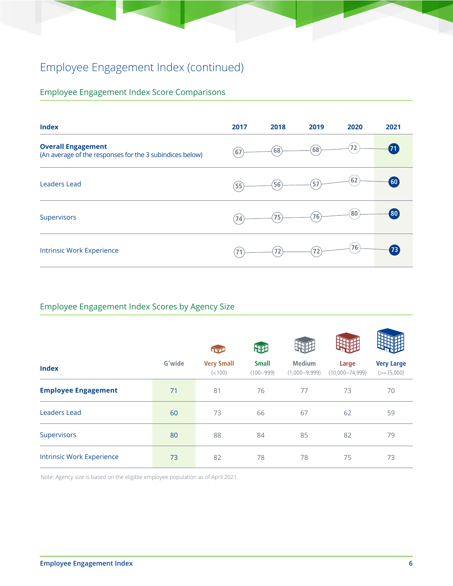# Employee Engagement Index (continued)

## Employee Engagement Index Score Comparisons

| <b>Index</b>                                                                          | 2017 | 2018 | 2019 | 2020 | 2021 |
|---------------------------------------------------------------------------------------|------|------|------|------|------|
| <b>Overall Engagement</b><br>(An average of the responses for the 3 subindices below) | (67) | (68) | (68) | 72   | (71) |
| <b>Leaders Lead</b>                                                                   | (55) | (56) | 57   | 62)  | 60   |
| Supervisors                                                                           | (74) | (75) | 76)  | 80   | (80) |
| <b>Intrinsic Work Experience</b>                                                      | 71   | (72) | 72   | 76   | 73   |

## Employee Engagement Index Scores by Agency Size

|                                  |        |                              | 朋                             |                                  |                              |                                   |
|----------------------------------|--------|------------------------------|-------------------------------|----------------------------------|------------------------------|-----------------------------------|
| <b>Index</b>                     | G'wide | <b>Very Small</b><br>(< 100) | <b>Small</b><br>$(100 - 999)$ | <b>Medium</b><br>$(1,000-9,999)$ | Large<br>$(10,000 - 74,999)$ | <b>Very Large</b><br>$(>=75,000)$ |
| <b>Employee Engagement</b>       | 71     | 81                           | 76                            | 77                               | 73                           | 70                                |
| <b>Leaders Lead</b>              | 60     | 73                           | 66                            | 67                               | 62                           | 59                                |
| Supervisors                      | 80     | 88                           | 84                            | 85                               | 82                           | 79                                |
| <b>Intrinsic Work Experience</b> | 73     | 82                           | 78                            | 78                               | 75                           | 73                                |

Note: Agency size is based on the eligible employee population as of April 2021.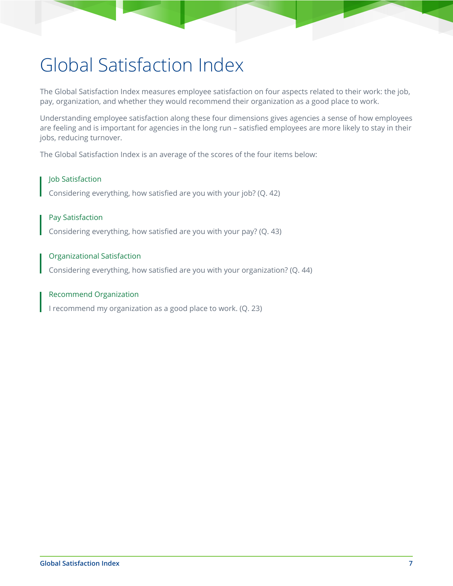# Global Satisfaction Index

The Global Satisfaction Index measures employee satisfaction on four aspects related to their work: the job, pay, organization, and whether they would recommend their organization as a good place to work.

Understanding employee satisfaction along these four dimensions gives agencies a sense of how employees are feeling and is important for agencies in the long run – satisfied employees are more likely to stay in their jobs, reducing turnover.

The Global Satisfaction Index is an average of the scores of the four items below:

### Job Satisfaction

Considering everything, how satisfied are you with your job? (Q. 42)

### Pay Satisfaction

Considering everything, how satisfied are you with your pay? (Q. 43)

#### Organizational Satisfaction

Considering everything, how satisfied are you with your organization? (Q. 44)

#### Recommend Organization

I recommend my organization as a good place to work. (Q. 23)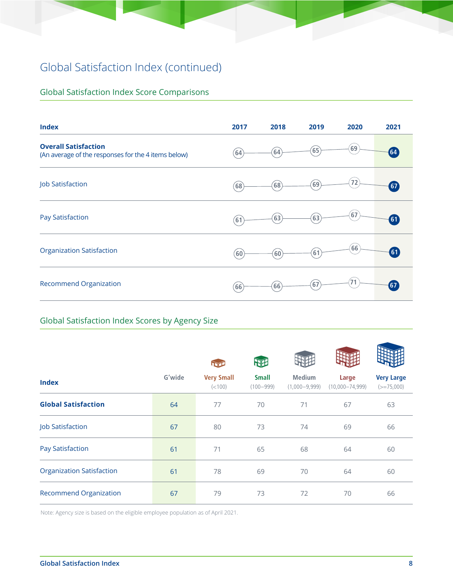## Global Satisfaction Index (continued)

## Global Satisfaction Index Score Comparisons

| <b>Index</b>                                                                       | 2017              | 2018                | 2019 | 2020 | 2021               |
|------------------------------------------------------------------------------------|-------------------|---------------------|------|------|--------------------|
| <b>Overall Satisfaction</b><br>(An average of the responses for the 4 items below) | (64)              | 64)                 | (65) | 69   | $\left( 64\right)$ |
| <b>Job Satisfaction</b>                                                            | (68)              | (68)                | (69) | 72   | $\boxed{67}$       |
| <b>Pay Satisfaction</b>                                                            | 61                | (63)                | 63   | 67   | $\boxed{61}$       |
| <b>Organization Satisfaction</b>                                                   | $\left[60\right]$ | $\left( 60 \right)$ | 61   | (66) | $\boxed{61}$       |
| <b>Recommend Organization</b>                                                      | (66)              | (66)                | 67   | 71   | 67                 |

### Global Satisfaction Index Scores by Agency Size

|                                  |        |                              | 吜                             |                                  |                              |                                   |
|----------------------------------|--------|------------------------------|-------------------------------|----------------------------------|------------------------------|-----------------------------------|
| <b>Index</b>                     | G'wide | <b>Very Small</b><br>(< 100) | <b>Small</b><br>$(100 - 999)$ | <b>Medium</b><br>$(1,000-9,999)$ | Large<br>$(10,000 - 74,999)$ | <b>Very Large</b><br>$(>=75,000)$ |
| <b>Global Satisfaction</b>       | 64     | 77                           | 70                            | 71                               | 67                           | 63                                |
| Job Satisfaction                 | 67     | 80                           | 73                            | 74                               | 69                           | 66                                |
| <b>Pay Satisfaction</b>          | 61     | 71                           | 65                            | 68                               | 64                           | 60                                |
| <b>Organization Satisfaction</b> | 61     | 78                           | 69                            | 70                               | 64                           | 60                                |
| <b>Recommend Organization</b>    | 67     | 79                           | 73                            | 72                               | 70                           | 66                                |

Note: Agency size is based on the eligible employee population as of April 2021.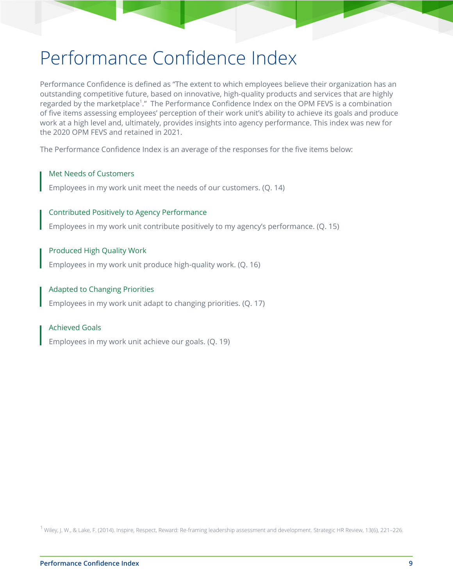# Performance Confidence Index

Performance Confidence is defined as "The extent to which employees believe their organization has an outstanding competitive future, based on innovative, high-quality products and services that are highly regarded by the marketplace<sup>1</sup>." The Performance Confidence Index on the OPM FEVS is a combination of five items assessing employees' perception of their work unit's ability to achieve its goals and produce work at a high level and, ultimately, provides insights into agency performance. This index was new for the 2020 OPM FEVS and retained in 2021.

The Performance Confidence Index is an average of the responses for the five items below:

#### Met Needs of Customers

Employees in my work unit meet the needs of our customers. (Q. 14)

#### Contributed Positively to Agency Performance

Employees in my work unit contribute positively to my agency's performance. (Q. 15)

#### Produced High Quality Work

Employees in my work unit produce high-quality work. (Q. 16)

#### Adapted to Changing Priorities

Employees in my work unit adapt to changing priorities. (Q. 17)

#### Achieved Goals

Employees in my work unit achieve our goals. (Q. 19)

 $^{\text{1}}$  Wiley, J. W., & Lake, F. (2014). Inspire, Respect, Reward: Re-framing leadership assessment and development. Strategic HR Review, 13(6), 221–226.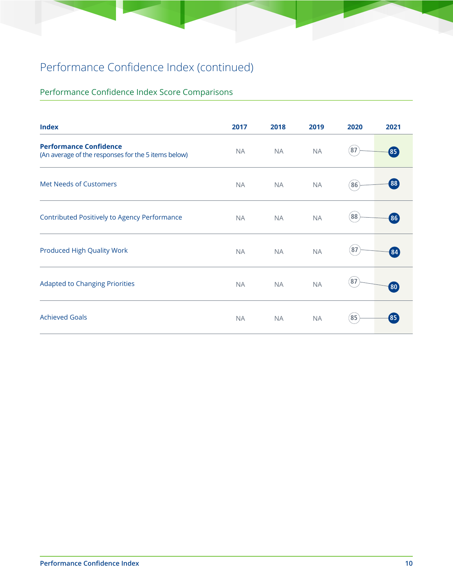## Performance Confidence Index (continued)

## Performance Confidence Index Score Comparisons

| <b>Index</b>                                                                         | 2017      | 2018      | 2019      | 2020        | 2021            |
|--------------------------------------------------------------------------------------|-----------|-----------|-----------|-------------|-----------------|
| <b>Performance Confidence</b><br>(An average of the responses for the 5 items below) | <b>NA</b> | <b>NA</b> | <b>NA</b> | 87          | 85 <sup>°</sup> |
| <b>Met Needs of Customers</b>                                                        | <b>NA</b> | <b>NA</b> | <b>NA</b> | (86)        | (88)            |
| Contributed Positively to Agency Performance                                         | <b>NA</b> | <b>NA</b> | <b>NA</b> | (88)        | 86 <sup>°</sup> |
| <b>Produced High Quality Work</b>                                                    | <b>NA</b> | <b>NA</b> | <b>NA</b> | (87)        | 84              |
| <b>Adapted to Changing Priorities</b>                                                | <b>NA</b> | <b>NA</b> | <b>NA</b> | $\sqrt{87}$ | (80)            |
| <b>Achieved Goals</b>                                                                | <b>NA</b> | <b>NA</b> | <b>NA</b> | 85          | 85              |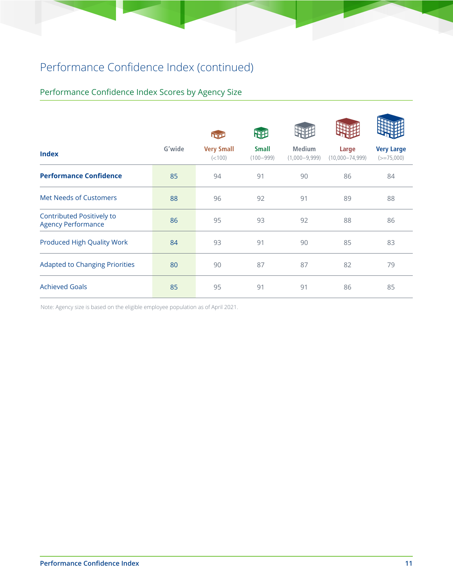## Performance Confidence Index (continued)

## Performance Confidence Index Scores by Agency Size

|                                                               |        |                              | 朋                             |                                  |                              |                                   |
|---------------------------------------------------------------|--------|------------------------------|-------------------------------|----------------------------------|------------------------------|-----------------------------------|
| <b>Index</b>                                                  | G'wide | <b>Very Small</b><br>(< 100) | <b>Small</b><br>$(100 - 999)$ | <b>Medium</b><br>$(1,000-9,999)$ | Large<br>$(10,000 - 74,999)$ | <b>Very Large</b><br>$(>=75,000)$ |
| <b>Performance Confidence</b>                                 | 85     | 94                           | 91                            | 90                               | 86                           | 84                                |
| <b>Met Needs of Customers</b>                                 | 88     | 96                           | 92                            | 91                               | 89                           | 88                                |
| <b>Contributed Positively to</b><br><b>Agency Performance</b> | 86     | 95                           | 93                            | 92                               | 88                           | 86                                |
| <b>Produced High Quality Work</b>                             | 84     | 93                           | 91                            | 90                               | 85                           | 83                                |
| <b>Adapted to Changing Priorities</b>                         | 80     | 90                           | 87                            | 87                               | 82                           | 79                                |
| <b>Achieved Goals</b>                                         | 85     | 95                           | 91                            | 91                               | 86                           | 85                                |

Note: Agency size is based on the eligible employee population as of April 2021.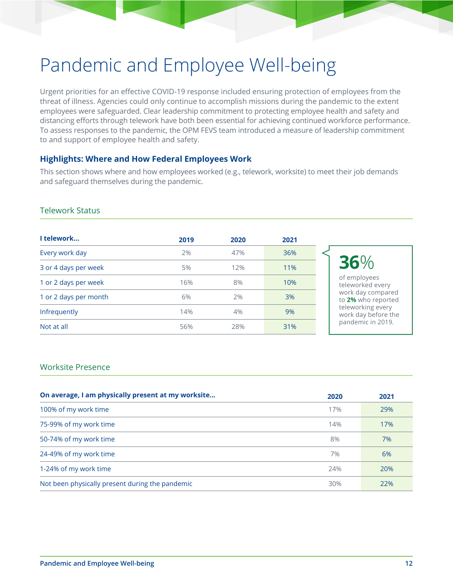# Pandemic and Employee Well-being

Urgent priorities for an effective COVID-19 response included ensuring protection of employees from the threat of illness. Agencies could only continue to accomplish missions during the pandemic to the extent employees were safeguarded. Clear leadership commitment to protecting employee health and safety and distancing efforts through telework have both been essential for achieving continued workforce performance. To assess responses to the pandemic, the OPM FEVS team introduced a measure of leadership commitment to and support of employee health and safety.

### **Highlights: Where and How Federal Employees Work**

This section shows where and how employees worked (e.g., telework, worksite) to meet their job demands and safeguard themselves during the pandemic.

### Telework Status

| 2019 | 2020 | 2021 |                                          |
|------|------|------|------------------------------------------|
| 2%   | 47%  | 36%  |                                          |
| 5%   | 12%  | 11%  | 36%                                      |
| 16%  | 8%   | 10%  | of employees<br>teleworked every         |
| 6%   | 2%   | 3%   | work day compared<br>to 2% who reported  |
| 14%  | 4%   | 9%   | teleworking every<br>work day before the |
| 56%  | 28%  | 31%  | pandemic in 2019.                        |
|      |      |      |                                          |

#### Worksite Presence

| On average, I am physically present at my worksite | 2020 | 2021 |
|----------------------------------------------------|------|------|
| 100% of my work time                               | 17%  | 29%  |
| 75-99% of my work time                             | 14%  | 17%  |
| 50-74% of my work time                             | 8%   | 7%   |
| 24-49% of my work time                             | 7%   | 6%   |
| 1-24% of my work time                              | 24%  | 20%  |
| Not been physically present during the pandemic    | 30%  | 22%  |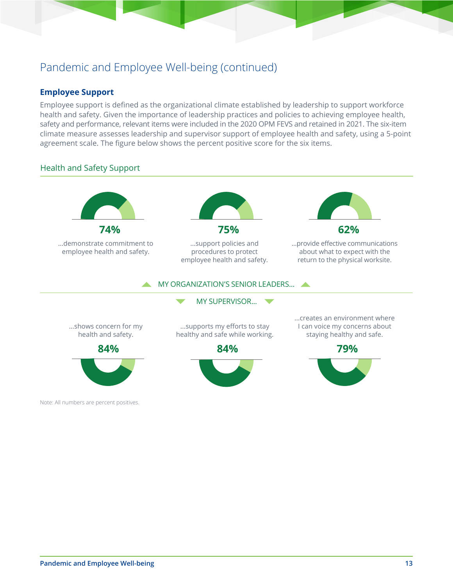## Pandemic and Employee Well-being (continued)

### **Employee Support**

Employee support is defined as the organizational climate established by leadership to support workforce health and safety. Given the importance of leadership practices and policies to achieving employee health, safety and performance, relevant items were included in the 2020 OPM FEVS and retained in 2021. The six-item climate measure assesses leadership and supervisor support of employee health and safety, using a 5-point agreement scale. The figure below shows the percent positive score for the six items.

### Health and Safety Support

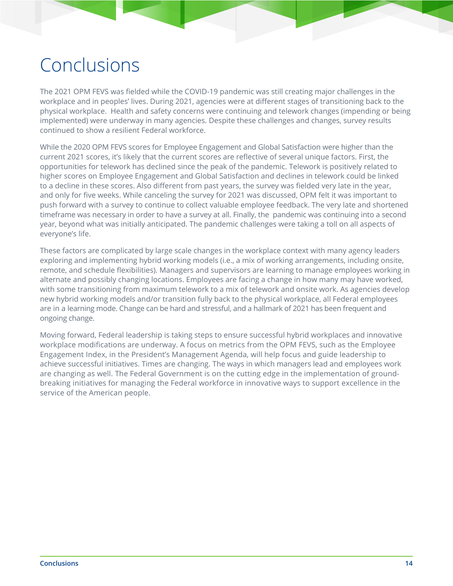# Conclusions

The 2021 OPM FEVS was fielded while the COVID-19 pandemic was still creating major challenges in the workplace and in peoples' lives. During 2021, agencies were at different stages of transitioning back to the physical workplace. Health and safety concerns were continuing and telework changes (impending or being implemented) were underway in many agencies. Despite these challenges and changes, survey results continued to show a resilient Federal workforce.

While the 2020 OPM FEVS scores for Employee Engagement and Global Satisfaction were higher than the current 2021 scores, it's likely that the current scores are reflective of several unique factors. First, the opportunities for telework has declined since the peak of the pandemic. Telework is positively related to higher scores on Employee Engagement and Global Satisfaction and declines in telework could be linked to a decline in these scores. Also different from past years, the survey was fielded very late in the year, and only for five weeks. While canceling the survey for 2021 was discussed, OPM felt it was important to push forward with a survey to continue to collect valuable employee feedback. The very late and shortened timeframe was necessary in order to have a survey at all. Finally, the pandemic was continuing into a second year, beyond what was initially anticipated. The pandemic challenges were taking a toll on all aspects of everyone's life.

These factors are complicated by large scale changes in the workplace context with many agency leaders exploring and implementing hybrid working models (i.e., a mix of working arrangements, including onsite, remote, and schedule flexibilities). Managers and supervisors are learning to manage employees working in alternate and possibly changing locations. Employees are facing a change in how many may have worked, with some transitioning from maximum telework to a mix of telework and onsite work. As agencies develop new hybrid working models and/or transition fully back to the physical workplace, all Federal employees are in a learning mode. Change can be hard and stressful, and a hallmark of 2021 has been frequent and ongoing change.

Moving forward, Federal leadership is taking steps to ensure successful hybrid workplaces and innovative workplace modifications are underway. A focus on metrics from the OPM FEVS, such as the Employee Engagement Index, in the President's Management Agenda, will help focus and guide leadership to achieve successful initiatives. Times are changing. The ways in which managers lead and employees work are changing as well. The Federal Government is on the cutting edge in the implementation of groundbreaking initiatives for managing the Federal workforce in innovative ways to support excellence in the service of the American people.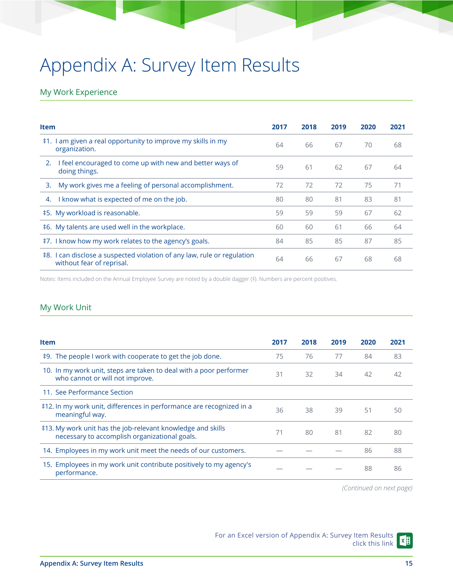# Appendix A: Survey Item Results

### My Work Experience

| <b>Item</b>                                                                                          | 2017 | 2018 | 2019 | 2020 | 2021 |
|------------------------------------------------------------------------------------------------------|------|------|------|------|------|
| ‡1. I am given a real opportunity to improve my skills in my<br>organization.                        | 64   | 66   | 67   | 70   | 68   |
| I feel encouraged to come up with new and better ways of<br>2.<br>doing things.                      | 59   | 61   | 62   | 67   | 64   |
| My work gives me a feeling of personal accomplishment.<br>3.                                         | 72   | 72   | 72   | 75   | 71   |
| I know what is expected of me on the job.<br>4.                                                      | 80   | 80   | 81   | 83   | 81   |
| ‡5. My workload is reasonable.                                                                       | 59   | 59   | 59   | 67   | 62   |
| ‡6. My talents are used well in the workplace.                                                       | 60   | 60   | 61   | 66   | 64   |
| ‡7. I know how my work relates to the agency's goals.                                                | 84   | 85   | 85   | 87   | 85   |
| ‡8. I can disclose a suspected violation of any law, rule or regulation<br>without fear of reprisal. | 64   | 66   | 67   | 68   | 68   |

Notes: Items included on the Annual Employee Survey are noted by a double dagger (‡). Numbers are percent positives.

### My Work Unit

| <b>Item</b>                                                                                                  | 2017 | 2018 | 2019 | 2020 | 2021 |
|--------------------------------------------------------------------------------------------------------------|------|------|------|------|------|
| #9. The people I work with cooperate to get the job done.                                                    | 75   | 76   | 77   | 84   | 83   |
| 10. In my work unit, steps are taken to deal with a poor performer<br>who cannot or will not improve.        | 31   | 32   | 34   | 42   | 42   |
| 11. See Performance Section                                                                                  |      |      |      |      |      |
| #12. In my work unit, differences in performance are recognized in a<br>meaningful way.                      | 36   | 38   | 39   | 51   | 50   |
| ‡13. My work unit has the job-relevant knowledge and skills<br>necessary to accomplish organizational goals. | 71   | 80   | 81   | 82   | 80   |
| 14. Employees in my work unit meet the needs of our customers.                                               |      |      |      | 86   | 88   |
| 15. Employees in my work unit contribute positively to my agency's<br>performance.                           |      |      |      | 88   | 86   |

*(Continued on next page)*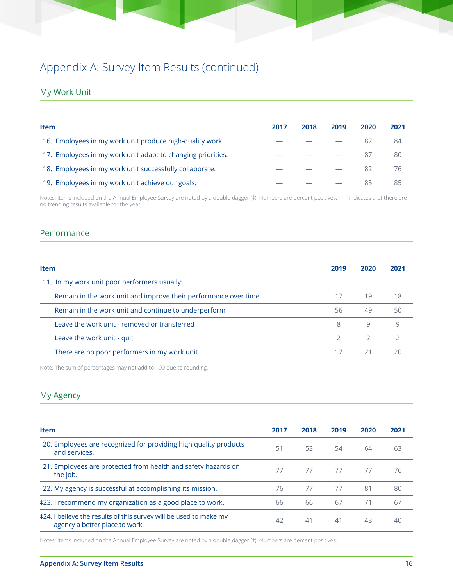### My Work Unit

| <b>Item</b>                                                 | 2017 | 2018 | 2019 | 2020 | 2021 |
|-------------------------------------------------------------|------|------|------|------|------|
| 16. Employees in my work unit produce high-quality work.    |      |      |      | 87   | 84   |
| 17. Employees in my work unit adapt to changing priorities. |      |      |      | 87   | 80   |
| 18. Employees in my work unit successfully collaborate.     |      |      |      | 82   | 76   |
| 19. Employees in my work unit achieve our goals.            |      |      |      | 85   | 85   |

Notes: Items included on the Annual Employee Survey are noted by a double dagger (‡). Numbers are percent positives. "—" indicates that there are no trending results available for the year.

### Performance

| <b>Item</b>                                                     | 2019 | <b>2020</b> |    |
|-----------------------------------------------------------------|------|-------------|----|
| 11. In my work unit poor performers usually:                    |      |             |    |
| Remain in the work unit and improve their performance over time |      | 19          | 18 |
| Remain in the work unit and continue to underperform            | 56   | 49          | 50 |
| Leave the work unit - removed or transferred                    | 8    | 9           |    |
| Leave the work unit - quit                                      |      |             |    |
| There are no poor performers in my work unit                    |      | 21          |    |

Note: The sum of percentages may not add to 100 due to rounding.

### My Agency

| <b>Item</b>                                                                                         | 2017 | 2018 | 2019 | 2020 | 2021 |
|-----------------------------------------------------------------------------------------------------|------|------|------|------|------|
| 20. Employees are recognized for providing high quality products<br>and services.                   | 51   | 53   | 54   | 64   | 63   |
| 21. Employees are protected from health and safety hazards on<br>the job.                           | 77   | 77   | 77   | 77   | 76   |
| 22. My agency is successful at accomplishing its mission.                                           | 76   | 77   | 77   | 81   | 80   |
| ‡23. I recommend my organization as a good place to work.                                           | 66   | 66   | 67   | 71   | 67   |
| ‡24. I believe the results of this survey will be used to make my<br>agency a better place to work. | 42   | 41   | 41   | 43   | 40   |

Notes: Items included on the Annual Employee Survey are noted by a double dagger (‡). Numbers are percent positives.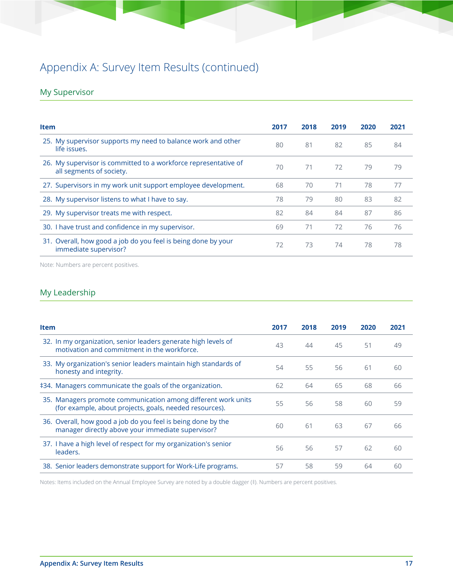## My Supervisor

| <b>Item</b>                                                                                 | 2017 | 2018 | 2019 | 2020 | 2021 |
|---------------------------------------------------------------------------------------------|------|------|------|------|------|
| 25. My supervisor supports my need to balance work and other<br>life issues.                | 80   | 81   | 82   | 85   | 84   |
| 26. My supervisor is committed to a workforce representative of<br>all segments of society. | 70   | 71   | 72   | 79   | 79   |
| 27. Supervisors in my work unit support employee development.                               | 68   | 70   | 71   | 78   | 77   |
| 28. My supervisor listens to what I have to say.                                            | 78   | 79   | 80   | 83   | 82   |
| 29. My supervisor treats me with respect.                                                   | 82   | 84   | 84   | 87   | 86   |
| 30. I have trust and confidence in my supervisor.                                           | 69   | 71   | 72   | 76   | 76   |
| 31. Overall, how good a job do you feel is being done by your<br>immediate supervisor?      | 72   | 73   | 74   | 78   | 78   |

Note: Numbers are percent positives.

### My Leadership

| <b>Item</b>                                                                                                              | 2017 | 2018 | 2019 | 2020 | 2021 |
|--------------------------------------------------------------------------------------------------------------------------|------|------|------|------|------|
| 32. In my organization, senior leaders generate high levels of<br>motivation and commitment in the workforce.            | 43   | 44   | 45   | 51   | 49   |
| 33. My organization's senior leaders maintain high standards of<br>honesty and integrity.                                | 54   | 55   | 56   | 61   | 60   |
| ‡34. Managers communicate the goals of the organization.                                                                 | 62   | 64   | 65   | 68   | 66   |
| 35. Managers promote communication among different work units<br>(for example, about projects, goals, needed resources). | 55   | 56   | 58   | 60   | 59   |
| 36. Overall, how good a job do you feel is being done by the<br>manager directly above your immediate supervisor?        | 60   | 61   | 63   | 67   | 66   |
| 37. I have a high level of respect for my organization's senior<br>leaders.                                              | 56   | 56   | 57   | 62   | 60   |
| 38. Senior leaders demonstrate support for Work-Life programs.                                                           | 57   | 58   | 59   | 64   | 60   |

Notes: Items included on the Annual Employee Survey are noted by a double dagger (‡). Numbers are percent positives.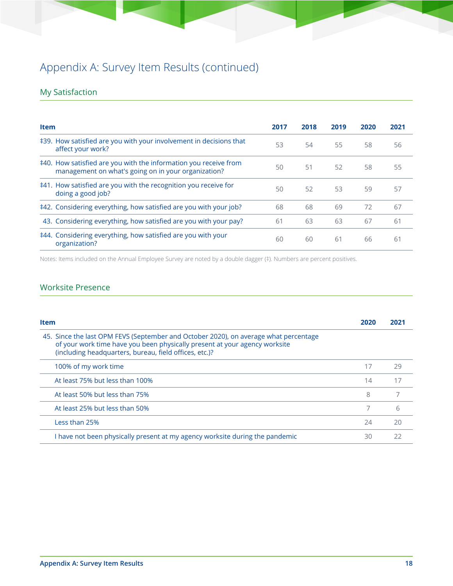## My Satisfaction

| <b>Item</b>                                                                                                             | 2017 | 2018 | 2019 | 2020 | 2021 |
|-------------------------------------------------------------------------------------------------------------------------|------|------|------|------|------|
| ‡39. How satisfied are you with your involvement in decisions that<br>affect your work?                                 | 53   | 54   | 55   | 58   | 56   |
| ‡40. How satisfied are you with the information you receive from<br>management on what's going on in your organization? | 50   | 51   | 52   | 58   | 55   |
| ‡41. How satisfied are you with the recognition you receive for<br>doing a good job?                                    | 50   | 52   | 53   | 59   | 57   |
| ‡42. Considering everything, how satisfied are you with your job?                                                       | 68   | 68   | 69   | 72   | 67   |
| 43. Considering everything, how satisfied are you with your pay?                                                        | 61   | 63   | 63   | 67   | 61   |
| ‡44. Considering everything, how satisfied are you with your<br>organization?                                           | 60   | 60   | 61   | 66   | 61   |

Notes: Items included on the Annual Employee Survey are noted by a double dagger (‡). Numbers are percent positives.

### Worksite Presence

| <b>Item</b>                                                                                                                                                                                                                  | 2020 | 2021 |
|------------------------------------------------------------------------------------------------------------------------------------------------------------------------------------------------------------------------------|------|------|
| 45. Since the last OPM FEVS (September and October 2020), on average what percentage<br>of your work time have you been physically present at your agency worksite<br>(including headquarters, bureau, field offices, etc.)? |      |      |
| 100% of my work time                                                                                                                                                                                                         | 17   | 29   |
| At least 75% but less than 100%                                                                                                                                                                                              | 14   | 17   |
| At least 50% but less than 75%                                                                                                                                                                                               | 8    |      |
| At least 25% but less than 50%                                                                                                                                                                                               | 7    | 6    |
| Less than 25%                                                                                                                                                                                                                | 74   | 20   |
| I have not been physically present at my agency worksite during the pandemic                                                                                                                                                 | 30   | 22   |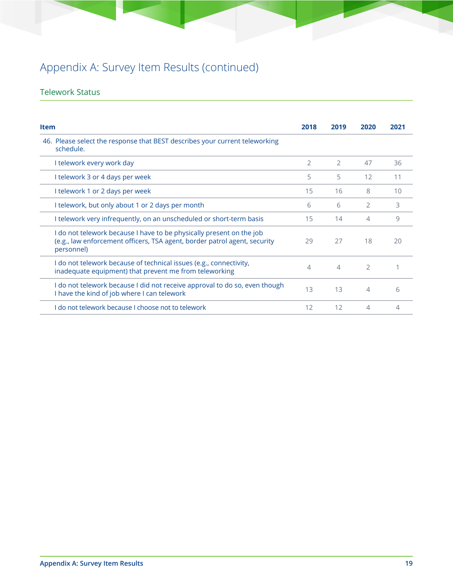### Telework Status

| <b>Item</b>                                                                                                                                                     | 2018           | 2019           | 2020          | 2021 |
|-----------------------------------------------------------------------------------------------------------------------------------------------------------------|----------------|----------------|---------------|------|
| 46. Please select the response that BEST describes your current teleworking<br>schedule.                                                                        |                |                |               |      |
| I telework every work day                                                                                                                                       | $\overline{2}$ | $\overline{2}$ | 47            | 36   |
| I telework 3 or 4 days per week                                                                                                                                 | 5              | 5              | 12            | 11   |
| I telework 1 or 2 days per week                                                                                                                                 | 15             | 16             | 8             | 10   |
| I telework, but only about 1 or 2 days per month                                                                                                                | 6              | 6              | 2             | 3    |
| I telework very infrequently, on an unscheduled or short-term basis                                                                                             | 15             | 14             | 4             | 9    |
| I do not telework because I have to be physically present on the job<br>(e.g., law enforcement officers, TSA agent, border patrol agent, security<br>personnel) | 29             | 27             | 18            | 20   |
| I do not telework because of technical issues (e.g., connectivity,<br>inadequate equipment) that prevent me from teleworking                                    | 4              | $\overline{4}$ | $\mathcal{L}$ |      |
| I do not telework because I did not receive approval to do so, even though<br>I have the kind of job where I can telework                                       | 13             | 13             | 4             | 6    |
| I do not telework because I choose not to telework                                                                                                              | 12             | 12             | 4             | 4    |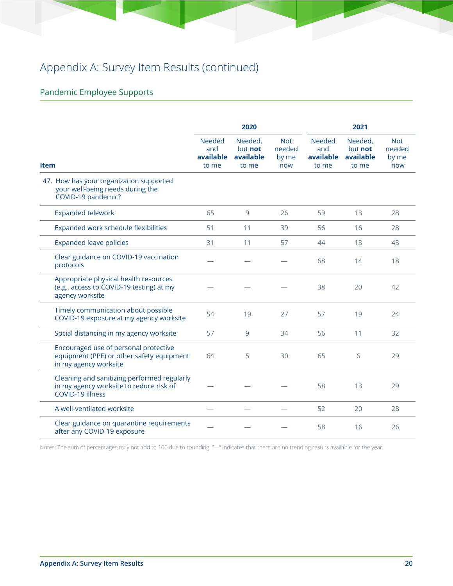## Pandemic Employee Supports

|                                                                                                             |                                            | 2020                                     |                                      |                                            | 2021                                     |                                |
|-------------------------------------------------------------------------------------------------------------|--------------------------------------------|------------------------------------------|--------------------------------------|--------------------------------------------|------------------------------------------|--------------------------------|
| <b>Item</b>                                                                                                 | <b>Needed</b><br>and<br>available<br>to me | Needed,<br>but not<br>available<br>to me | <b>Not</b><br>needed<br>by me<br>now | <b>Needed</b><br>and<br>available<br>to me | Needed,<br>but not<br>available<br>to me | Not.<br>needed<br>by me<br>now |
| 47. How has your organization supported<br>your well-being needs during the<br>COVID-19 pandemic?           |                                            |                                          |                                      |                                            |                                          |                                |
| <b>Expanded telework</b>                                                                                    | 65                                         | 9                                        | 26                                   | 59                                         | 13                                       | 28                             |
| Expanded work schedule flexibilities                                                                        | 51                                         | 11                                       | 39                                   | 56                                         | 16                                       | 28                             |
| <b>Expanded leave policies</b>                                                                              | 31                                         | 11                                       | 57                                   | 44                                         | 13                                       | 43                             |
| Clear guidance on COVID-19 vaccination<br>protocols                                                         |                                            |                                          |                                      | 68                                         | 14                                       | 18                             |
| Appropriate physical health resources<br>(e.g., access to COVID-19 testing) at my<br>agency worksite        |                                            |                                          |                                      | 38                                         | 20                                       | 42                             |
| Timely communication about possible<br>COVID-19 exposure at my agency worksite                              | 54                                         | 19                                       | 27                                   | 57                                         | 19                                       | 24                             |
| Social distancing in my agency worksite                                                                     | 57                                         | 9                                        | 34                                   | 56                                         | 11                                       | 32                             |
| Encouraged use of personal protective<br>equipment (PPE) or other safety equipment<br>in my agency worksite | 64                                         | 5                                        | 30                                   | 65                                         | 6                                        | 29                             |
| Cleaning and sanitizing performed regularly<br>in my agency worksite to reduce risk of<br>COVID-19 illness  |                                            |                                          |                                      | 58                                         | 13                                       | 29                             |
| A well-ventilated worksite                                                                                  |                                            |                                          |                                      | 52                                         | 20                                       | 28                             |
| Clear guidance on quarantine requirements<br>after any COVID-19 exposure                                    |                                            |                                          |                                      | 58                                         | 16                                       | 26                             |

Notes: The sum of percentages may not add to 100 due to rounding. "—" indicates that there are no trending results available for the year.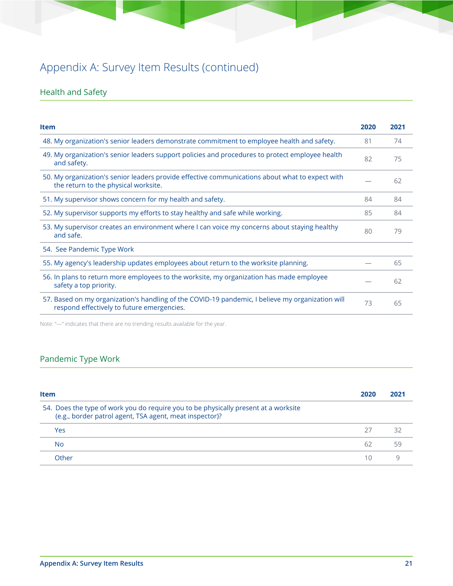## Health and Safety

| <b>Item</b>                                                                                                                                    | 2020 | 2021 |
|------------------------------------------------------------------------------------------------------------------------------------------------|------|------|
| 48. My organization's senior leaders demonstrate commitment to employee health and safety.                                                     | 81   | 74   |
| 49. My organization's senior leaders support policies and procedures to protect employee health<br>and safety.                                 | 82   | 75   |
| 50. My organization's senior leaders provide effective communications about what to expect with<br>the return to the physical worksite.        |      | 62   |
| 51. My supervisor shows concern for my health and safety.                                                                                      | 84   | 84   |
| 52. My supervisor supports my efforts to stay healthy and safe while working.                                                                  | 85   | 84   |
| 53. My supervisor creates an environment where I can voice my concerns about staying healthy<br>and safe.                                      | 80   | 79   |
| 54. See Pandemic Type Work                                                                                                                     |      |      |
| 55. My agency's leadership updates employees about return to the worksite planning.                                                            |      | 65   |
| 56. In plans to return more employees to the worksite, my organization has made employee<br>safety a top priority.                             |      | 62   |
| 57. Based on my organization's handling of the COVID-19 pandemic, I believe my organization will<br>respond effectively to future emergencies. | 73   | 65   |

Note: "—" indicates that there are no trending results available for the year.

## Pandemic Type Work

| <b>Item</b>                                                                                                                                    | 2020 | 2021 |
|------------------------------------------------------------------------------------------------------------------------------------------------|------|------|
| 54. Does the type of work you do require you to be physically present at a worksite<br>(e.g., border patrol agent, TSA agent, meat inspector)? |      |      |
| Yes                                                                                                                                            | 27   | コフ   |
| <b>No</b>                                                                                                                                      | 62   | 59   |
| Other                                                                                                                                          | 1 Ω  |      |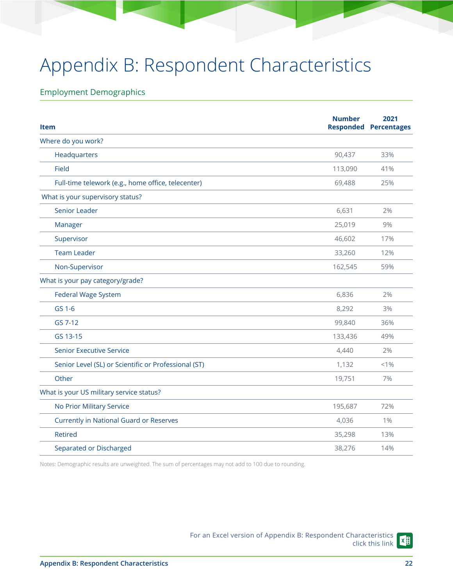# Appendix B: Respondent Characteristics

### Employment Demographics

| <b>Item</b>                                          | <b>Number</b> | 2021<br><b>Responded Percentages</b> |
|------------------------------------------------------|---------------|--------------------------------------|
| Where do you work?                                   |               |                                      |
| Headquarters                                         | 90,437        | 33%                                  |
| Field                                                | 113,090       | 41%                                  |
| Full-time telework (e.g., home office, telecenter)   | 69,488        | 25%                                  |
| What is your supervisory status?                     |               |                                      |
| Senior Leader                                        | 6,631         | 2%                                   |
| Manager                                              | 25,019        | 9%                                   |
| Supervisor                                           | 46,602        | 17%                                  |
| <b>Team Leader</b>                                   | 33,260        | 12%                                  |
| Non-Supervisor                                       | 162,545       | 59%                                  |
| What is your pay category/grade?                     |               |                                      |
| <b>Federal Wage System</b>                           | 6,836         | 2%                                   |
| GS 1-6                                               | 8,292         | 3%                                   |
| GS 7-12                                              | 99,840        | 36%                                  |
| GS 13-15                                             | 133,436       | 49%                                  |
| <b>Senior Executive Service</b>                      | 4,440         | 2%                                   |
| Senior Level (SL) or Scientific or Professional (ST) | 1,132         | $< 1\%$                              |
| Other                                                | 19,751        | 7%                                   |
| What is your US military service status?             |               |                                      |
| No Prior Military Service                            | 195,687       | 72%                                  |
| <b>Currently in National Guard or Reserves</b>       | 4,036         | $1\%$                                |
| <b>Retired</b>                                       | 35,298        | 13%                                  |
| Separated or Discharged                              | 38,276        | 14%                                  |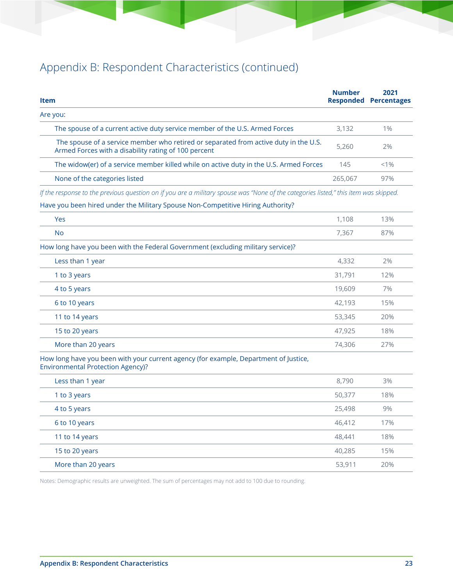| <b>Item</b>                                                                                                                                  | <b>Number</b> | 2021<br><b>Responded Percentages</b> |
|----------------------------------------------------------------------------------------------------------------------------------------------|---------------|--------------------------------------|
| Are you:                                                                                                                                     |               |                                      |
| The spouse of a current active duty service member of the U.S. Armed Forces                                                                  | 3,132         | $1\%$                                |
| The spouse of a service member who retired or separated from active duty in the U.S.<br>Armed Forces with a disability rating of 100 percent | 5,260         | 2%                                   |
| The widow(er) of a service member killed while on active duty in the U.S. Armed Forces                                                       | 145           | $< 1\%$                              |
| None of the categories listed                                                                                                                | 265,067       | 97%                                  |
| If the response to the previous question on if you are a military spouse was "None of the categories listed," this item was skipped.         |               |                                      |
| Have you been hired under the Military Spouse Non-Competitive Hiring Authority?                                                              |               |                                      |
| <b>Yes</b>                                                                                                                                   | 1,108         | 13%                                  |
| <b>No</b>                                                                                                                                    | 7,367         | 87%                                  |
| How long have you been with the Federal Government (excluding military service)?                                                             |               |                                      |
| Less than 1 year                                                                                                                             | 4,332         | 2%                                   |
| 1 to 3 years                                                                                                                                 | 31,791        | 12%                                  |
| 4 to 5 years                                                                                                                                 | 19,609        | 7%                                   |
| 6 to 10 years                                                                                                                                | 42,193        | 15%                                  |
| 11 to 14 years                                                                                                                               | 53,345        | 20%                                  |
| 15 to 20 years                                                                                                                               | 47,925        | 18%                                  |
| More than 20 years                                                                                                                           | 74,306        | 27%                                  |
| How long have you been with your current agency (for example, Department of Justice,<br><b>Environmental Protection Agency)?</b>             |               |                                      |
| Less than 1 year                                                                                                                             | 8,790         | 3%                                   |
| 1 to 3 years                                                                                                                                 | 50,377        | 18%                                  |
| 4 to 5 years                                                                                                                                 | 25,498        | 9%                                   |
| 6 to 10 years                                                                                                                                | 46,412        | 17%                                  |
| 11 to 14 years                                                                                                                               | 48,441        | 18%                                  |
| 15 to 20 years                                                                                                                               | 40,285        | 15%                                  |
| More than 20 years                                                                                                                           | 53,911        | 20%                                  |
|                                                                                                                                              |               |                                      |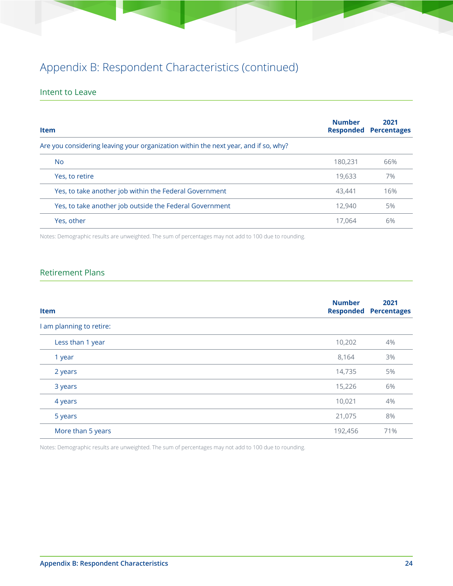### Intent to Leave

| <b>Item</b>                                                                         | <b>Number</b> | 2021<br><b>Responded Percentages</b> |
|-------------------------------------------------------------------------------------|---------------|--------------------------------------|
| Are you considering leaving your organization within the next year, and if so, why? |               |                                      |
| No.                                                                                 | 180,231       | 66%                                  |
| Yes, to retire                                                                      | 19,633        | 7%                                   |
| Yes, to take another job within the Federal Government                              | 43,441        | 16%                                  |
| Yes, to take another job outside the Federal Government                             | 12,940        | 5%                                   |
| Yes, other                                                                          | 17.064        | 6%                                   |

Notes: Demographic results are unweighted. The sum of percentages may not add to 100 due to rounding.

### Retirement Plans

| <b>Item</b>              | <b>Number</b> | 2021<br><b>Responded Percentages</b> |
|--------------------------|---------------|--------------------------------------|
| I am planning to retire: |               |                                      |
| Less than 1 year         | 10,202        | 4%                                   |
| 1 year                   | 8,164         | 3%                                   |
| 2 years                  | 14,735        | 5%                                   |
| 3 years                  | 15,226        | 6%                                   |
| 4 years                  | 10,021        | 4%                                   |
| 5 years                  | 21,075        | 8%                                   |
| More than 5 years        | 192,456       | 71%                                  |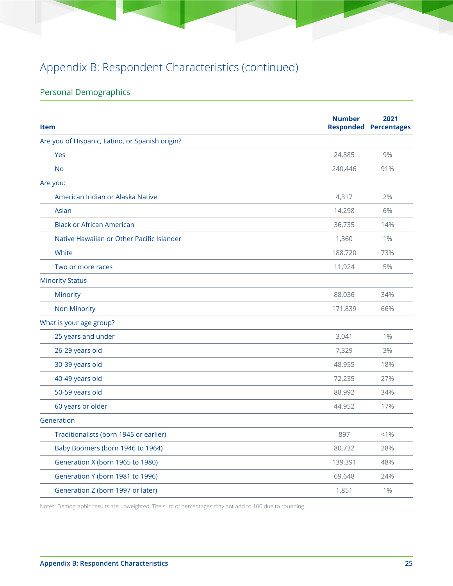## Personal Demographics

| <b>Item</b>                                     | <b>Number</b> | 2021<br><b>Responded Percentages</b> |
|-------------------------------------------------|---------------|--------------------------------------|
| Are you of Hispanic, Latino, or Spanish origin? |               |                                      |
| Yes                                             | 24,885        | 9%                                   |
| <b>No</b>                                       | 240,446       | 91%                                  |
| Are you:                                        |               |                                      |
| American Indian or Alaska Native                | 4,317         | 2%                                   |
| Asian                                           | 14,298        | 6%                                   |
| <b>Black or African American</b>                | 36,735        | 14%                                  |
| Native Hawaiian or Other Pacific Islander       | 1,360         | 1%                                   |
| White                                           | 188,720       | 73%                                  |
| Two or more races                               | 11,924        | 5%                                   |
| <b>Minority Status</b>                          |               |                                      |
| Minority                                        | 88,036        | 34%                                  |
| <b>Non Minority</b>                             | 171,839       | 66%                                  |
| What is your age group?                         |               |                                      |
| 25 years and under                              | 3,041         | 1%                                   |
| 26-29 years old                                 | 7,329         | 3%                                   |
| 30-39 years old                                 | 48,955        | 18%                                  |
| 40-49 years old                                 | 72,235        | 27%                                  |
| 50-59 years old                                 | 88,992        | 34%                                  |
| 60 years or older                               | 44,952        | 17%                                  |
| Generation                                      |               |                                      |
| Traditionalists (born 1945 or earlier)          | 897           | $< 1\%$                              |
| Baby Boomers (born 1946 to 1964)                | 80,732        | 28%                                  |
| Generation X (born 1965 to 1980)                | 139,391       | 48%                                  |
| Generation Y (born 1981 to 1996)                | 69,648        | 24%                                  |
| Generation Z (born 1997 or later)               | 1,851         | $1\%$                                |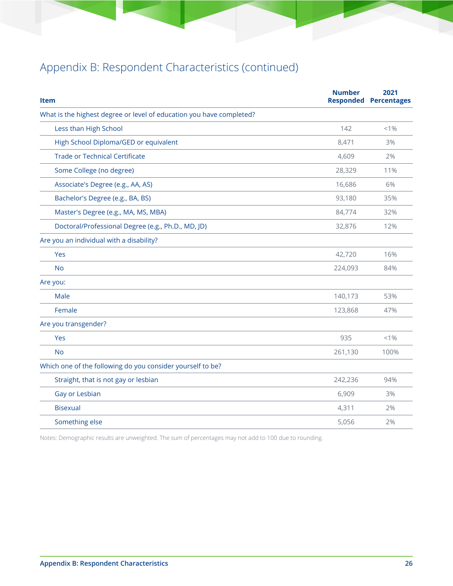| <b>Item</b>                                                          | <b>Number</b> | 2021<br><b>Responded Percentages</b> |
|----------------------------------------------------------------------|---------------|--------------------------------------|
| What is the highest degree or level of education you have completed? |               |                                      |
| Less than High School                                                | 142           | $< 1\%$                              |
| High School Diploma/GED or equivalent                                | 8,471         | 3%                                   |
| <b>Trade or Technical Certificate</b>                                | 4,609         | 2%                                   |
| Some College (no degree)                                             | 28,329        | 11%                                  |
| Associate's Degree (e.g., AA, AS)                                    | 16,686        | 6%                                   |
| Bachelor's Degree (e.g., BA, BS)                                     | 93,180        | 35%                                  |
| Master's Degree (e.g., MA, MS, MBA)                                  | 84,774        | 32%                                  |
| Doctoral/Professional Degree (e.g., Ph.D., MD, JD)                   | 32,876        | 12%                                  |
| Are you an individual with a disability?                             |               |                                      |
| Yes                                                                  | 42,720        | 16%                                  |
| <b>No</b>                                                            | 224,093       | 84%                                  |
| Are you:                                                             |               |                                      |
| Male                                                                 | 140,173       | 53%                                  |
| Female                                                               | 123,868       | 47%                                  |
| Are you transgender?                                                 |               |                                      |
| Yes                                                                  | 935           | $< 1\%$                              |
| <b>No</b>                                                            | 261,130       | 100%                                 |
| Which one of the following do you consider yourself to be?           |               |                                      |
| Straight, that is not gay or lesbian                                 | 242,236       | 94%                                  |
| Gay or Lesbian                                                       | 6,909         | 3%                                   |
| <b>Bisexual</b>                                                      | 4,311         | 2%                                   |
| Something else                                                       | 5,056         | 2%                                   |